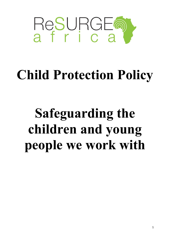

## **Child Protection Policy**

# **Safeguarding the children and young people we work with**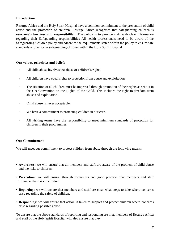### **Introduction**

Resurge Africa and the Holy Spirit Hospital have a common commitment to the prevention of child abuse and the protection of children. Resurge Africa recognises that safeguarding children is **everyone's business and responsibility**. The policy is to provide staff with clear information regarding their Safeguarding responsibilities All health professionals need to be aware of the Safeguarding Children policy and adhere to the requirements stated within the policy to ensure safe standards of practice in safeguarding children within the Holy Spirit Hospital

#### **Our values, principles and beliefs**

- All child abuse involves the abuse of children's rights.
- All children have equal rights to protection from abuse and exploitation.
- The situation of all children must be improved through promotion of their rights as set out in the UN Convention on the Rights of the Child. This includes the right to freedom from abuse and exploitation.
- Child abuse is never acceptable
- We have a commitment to protecting children in our care.
- All visiting teams have the responsibility to meet minimum standards of protection for children in their programmes.

## **Our Committment**

We will meet our commitment to protect children from abuse through the following means:

- **Awareness:** we will ensure that all members and staff are aware of the problem of child abuse and the risks to children.
- **Prevention:** we will ensure, through awareness and good practice, that members and staff minimise the risks to children.
- **Reporting:** we will ensure that members and staff are clear what steps to take where concerns arise regarding the safety of children.
- **Responding:** we will ensure that action is taken to support and protect children where concerns arise regarding possible abuse.

To ensure that the above standards of reporting and responding are met, members of Resurge Africa and staff of the Holy Spirit Hospital will also ensure that they: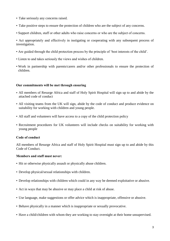- Take seriously any concerns raised.
- Take positive steps to ensure the protection of children who are the subject of any concerns.
- Support children, staff or other adults who raise concerns or who are the subject of concerns.

• Act appropriately and effectively in instigating or cooperating with any subsequent process of investigation.

- Are guided through the child protection process by the principle of 'best interests of the child'.
- Listen to and takes seriously the views and wishes of children.
- Work in partnership with parents/carers and/or other professionals to ensure the protection of children.

#### **Our commitments will be met through ensuring**

- All members of Resurge Africa and staff of Holy Spirit Hospital will sign up to and abide by the attached code of conduct
- All visiting teams from the UK will sign, abide by the code of conduct and produce evidence on suitability for working with children and young people.
- All staff and volunteers will have access to a copy of the child protection policy
- Recruitment procedures for UK volunteers will include checks on suitability for working with young people

#### **Code of conduct**

All members of Resurge Africa and staff of Holy Spirit Hospital must sign up to and abide by this Code of Conduct.

#### **Members and staff must never:**

- Hit or otherwise physically assault or physically abuse children.
- Develop physical/sexual relationships with children.
- Develop relationships with children which could in any way be deemed exploitative or abusive.
- Act in ways that may be abusive or may place a child at risk of abuse.
- Use language, make suggestions or offer advice which is inappropriate, offensive or abusive.
- Behave physically in a manner which is inappropriate or sexually provocative.
- Have a child/children with whom they are working to stay overnight at their home unsupervised.